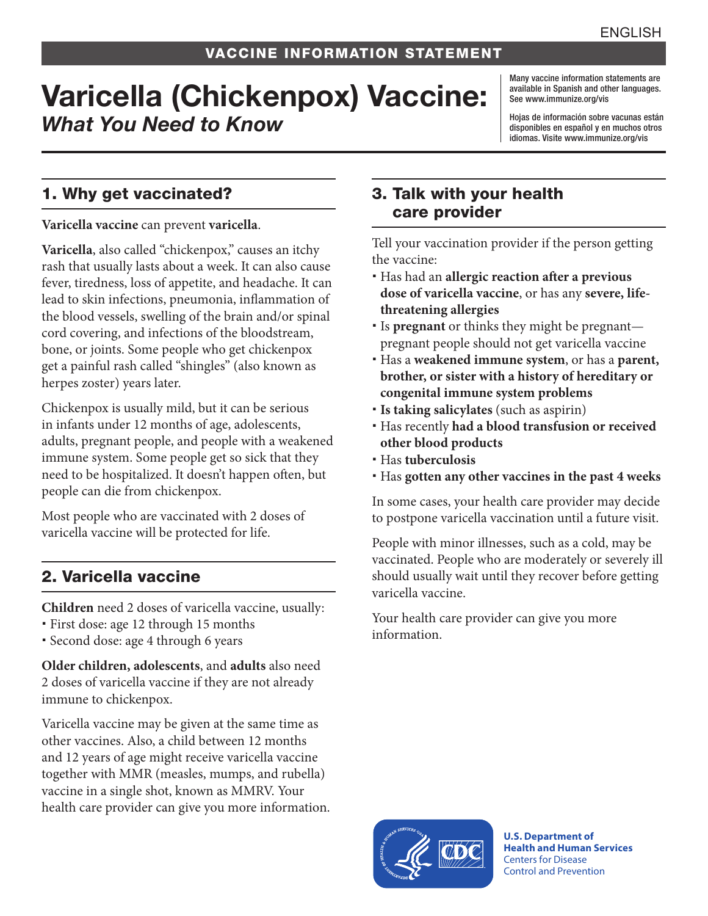# Varicella (Chickenpox) Vaccine: *What You Need to Know*

Many vaccine information statements are available in Spanish and other languages. See [www.immunize.org/vis](http://www.immunize.org/vis)

Hojas de información sobre vacunas están disponibles en español y en muchos otros idiomas. Visite [www.immunize.org/vis](http://www.immunize.org/vis)

### 1. Why get vaccinated?

**Varicella vaccine** can prevent **varicella**.

Varicella, also called "chickenpox," causes an itchy rash that usually lasts about a week. It can also cause fever, tiredness, loss of appetite, and headache. It can lead to skin infections, pneumonia, inflammation of the blood vessels, swelling of the brain and/or spinal cord covering, and infections of the bloodstream, bone, or joints. Some people who get chickenpox get a painful rash called "shingles" (also known as herpes zoster) years later.

Chickenpox is usually mild, but it can be serious in infants under 12 months of age, adolescents, adults, pregnant people, and people with a weakened immune system. Some people get so sick that they need to be hospitalized. It doesn't happen often, but people can die from chickenpox.

Most people who are vaccinated with 2 doses of varicella vaccine will be protected for life.

# 2. Varicella vaccine

**Children** need 2 doses of varicella vaccine, usually:

- First dose: age 12 through 15 months
- Second dose: age 4 through 6 years

**Older children, adolescents**, and **adults** also need 2 doses of varicella vaccine if they are not already immune to chickenpox.

Varicella vaccine may be given at the same time as other vaccines. Also, a child between 12 months and 12 years of age might receive varicella vaccine together with MMR (measles, mumps, and rubella) vaccine in a single shot, known as MMRV. Your health care provider can give you more information.

#### 3. Talk with your health care provider

Tell your vaccination provider if the person getting the vaccine:

- Has had an **allergic reaction after a previous dose of varicella vaccine**, or has any **severe, lifethreatening allergies**
- Is **pregnant** or thinks they might be pregnant pregnant people should not get varicella vaccine
- Has a **weakened immune system**, or has a **parent, brother, or sister with a history of hereditary or congenital immune system problems**
- **Is taking salicylates** (such as aspirin)
- Has recently **had a blood transfusion or received other blood products**
- Has **tuberculosis**
- Has **gotten any other vaccines in the past 4 weeks**

In some cases, your health care provider may decide to postpone varicella vaccination until a future visit.

People with minor illnesses, such as a cold, may be vaccinated. People who are moderately or severely ill should usually wait until they recover before getting varicella vaccine.

Your health care provider can give you more information.



**U.S. Department of Health and Human Services**  Centers for Disease Control and Prevention